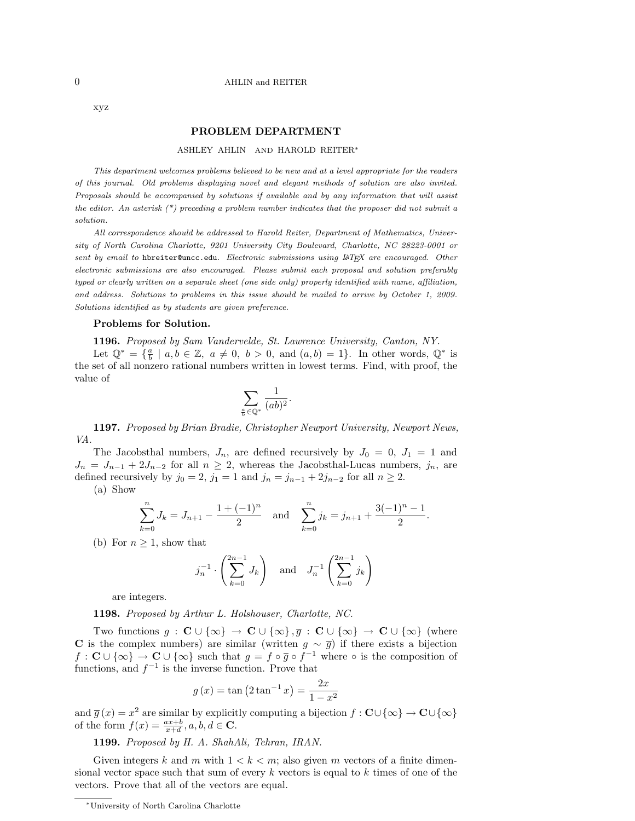## 0 AHLIN and REITER

xyz

## PROBLEM DEPARTMENT

## ASHLEY AHLIN AND HAROLD REITER<sup>∗</sup>

This department welcomes problems believed to be new and at a level appropriate for the readers of this journal. Old problems displaying novel and elegant methods of solution are also invited. Proposals should be accompanied by solutions if available and by any information that will assist the editor. An asterisk  $(*)$  preceding a problem number indicates that the proposer did not submit a solution.

All correspondence should be addressed to Harold Reiter, Department of Mathematics, University of North Carolina Charlotte, 9201 University City Boulevard, Charlotte, NC 28223-0001 or sent by email to hbreiter@uncc.edu. Electronic submissions using LATEX are encouraged. Other electronic submissions are also encouraged. Please submit each proposal and solution preferably typed or clearly written on a separate sheet (one side only) properly identified with name, affiliation, and address. Solutions to problems in this issue should be mailed to arrive by October 1, 2009. Solutions identified as by students are given preference.

## Problems for Solution.

1196. Proposed by Sam Vandervelde, St. Lawrence University, Canton, NY.

Let  $\mathbb{Q}^* = \{\frac{a}{b} \mid a, b \in \mathbb{Z}, a \neq 0, b > 0, \text{ and } (a, b) = 1\}.$  In other words,  $\mathbb{Q}^*$  is the set of all nonzero rational numbers written in lowest terms. Find, with proof, the value of

$$
\sum_{\frac{a}{b}\in \mathbb{Q}^*}\frac{1}{(ab)^2}.
$$

1197. Proposed by Brian Bradie, Christopher Newport University, Newport News, VA.

The Jacobsthal numbers,  $J_n$ , are defined recursively by  $J_0 = 0$ ,  $J_1 = 1$  and  $J_n = J_{n-1} + 2J_{n-2}$  for all  $n \geq 2$ , whereas the Jacobsthal-Lucas numbers,  $j_n$ , are defined recursively by  $j_0 = 2$ ,  $j_1 = 1$  and  $j_n = j_{n-1} + 2j_{n-2}$  for all  $n \ge 2$ .

(a) Show

$$
\sum_{k=0}^{n} J_k = J_{n+1} - \frac{1 + (-1)^n}{2} \quad \text{and} \quad \sum_{k=0}^{n} j_k = j_{n+1} + \frac{3(-1)^n - 1}{2}.
$$

(b) For  $n \geq 1$ , show that

$$
j_n^{-1} \cdot \left(\sum_{k=0}^{2n-1} J_k\right)
$$
 and  $J_n^{-1} \left(\sum_{k=0}^{2n-1} j_k\right)$ 

are integers.

1198. Proposed by Arthur L. Holshouser, Charlotte, NC.

Two functions  $g : \mathbf{C} \cup \{\infty\} \to \mathbf{C} \cup \{\infty\}, \overline{g} : \mathbf{C} \cup \{\infty\} \to \mathbf{C} \cup \{\infty\}$  (where C is the complex numbers) are similar (written  $g \sim \overline{g}$ ) if there exists a bijection  $f: \mathbf{C} \cup \{\infty\} \to \mathbf{C} \cup \{\infty\}$  such that  $g = f \circ \overline{g} \circ f^{-1}$  where  $\circ$  is the composition of functions, and  $f^{-1}$  is the inverse function. Prove that

$$
g(x) = \tan (2 \tan^{-1} x) = \frac{2x}{1 - x^2}
$$

and  $\overline{g}(x) = x^2$  are similar by explicitly computing a bijection  $f : \mathbf{C} \cup \{\infty\} \to \mathbf{C} \cup \{\infty\}$ of the form  $f(x) = \frac{ax+b}{x+d}, a, b, d \in \mathbf{C}$ .

1199. Proposed by H. A. ShahAli, Tehran, IRAN.

Given integers k and m with  $1 < k < m$ ; also given m vectors of a finite dimensional vector space such that sum of every  $k$  vectors is equal to  $k$  times of one of the vectors. Prove that all of the vectors are equal.

<sup>∗</sup>University of North Carolina Charlotte